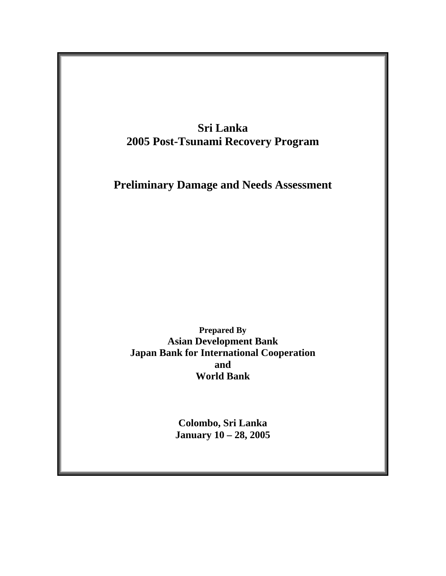

**January 10 – 28, 2005**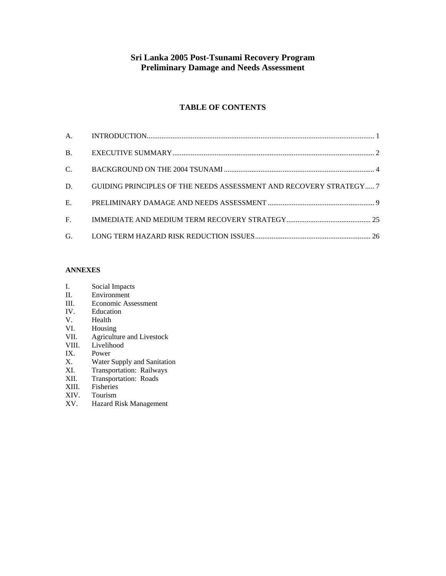### **Sri Lanka 2005 Post-Tsunami Recovery Program Preliminary Damage and Needs Assessment**

#### **TABLE OF CONTENTS**

| $C_{\cdot}$ and $C_{\cdot}$ |                                                                    |  |
|-----------------------------|--------------------------------------------------------------------|--|
| D.                          | GUIDING PRINCIPLES OF THE NEEDS ASSESSMENT AND RECOVERY STRATEGY 7 |  |
|                             |                                                                    |  |
|                             |                                                                    |  |
|                             |                                                                    |  |

#### **ANNEXES**

- I. Social Impacts<br>II. Environment
- Environment
- III. Economic Assessment<br>IV. Education
- IV. Education<br>V. Health
- Health
- VI. Housing<br>VII. Agricultu
- VII. Agriculture and Livestock<br>VIII. Livelihood
- Livelihood
- 
- IX. Power<br>X. Water ! Water Supply and Sanitation
- XI. Transportation: Railways
- XII. Transportation: Roads<br>XIII. Fisheries
- XIII. Fisheries<br>XIV. Tourism
- Tourism
- XV. Hazard Risk Management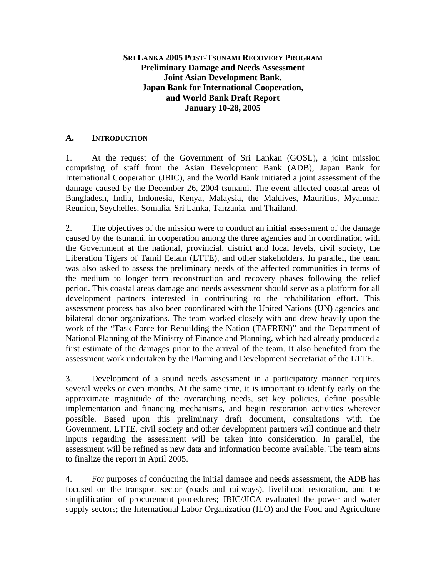#### <span id="page-2-0"></span>**SRI LANKA 2005 POST-TSUNAMI RECOVERY PROGRAM Preliminary Damage and Needs Assessment Joint Asian Development Bank, Japan Bank for International Cooperation, and World Bank Draft Report January 10-28, 2005**

#### **A. INTRODUCTION**

1. At the request of the Government of Sri Lankan (GOSL), a joint mission comprising of staff from the Asian Development Bank (ADB), Japan Bank for International Cooperation (JBIC), and the World Bank initiated a joint assessment of the damage caused by the December 26, 2004 tsunami. The event affected coastal areas of Bangladesh, India, Indonesia, Kenya, Malaysia, the Maldives, Mauritius, Myanmar, Reunion, Seychelles, Somalia, Sri Lanka, Tanzania, and Thailand.

2. The objectives of the mission were to conduct an initial assessment of the damage caused by the tsunami, in cooperation among the three agencies and in coordination with the Government at the national, provincial, district and local levels, civil society, the Liberation Tigers of Tamil Eelam (LTTE), and other stakeholders. In parallel, the team was also asked to assess the preliminary needs of the affected communities in terms of the medium to longer term reconstruction and recovery phases following the relief period. This coastal areas damage and needs assessment should serve as a platform for all development partners interested in contributing to the rehabilitation effort. This assessment process has also been coordinated with the United Nations (UN) agencies and bilateral donor organizations. The team worked closely with and drew heavily upon the work of the "Task Force for Rebuilding the Nation (TAFREN)" and the Department of National Planning of the Ministry of Finance and Planning, which had already produced a first estimate of the damages prior to the arrival of the team. It also benefited from the assessment work undertaken by the Planning and Development Secretariat of the LTTE.

3. Development of a sound needs assessment in a participatory manner requires several weeks or even months. At the same time, it is important to identify early on the approximate magnitude of the overarching needs, set key policies, define possible implementation and financing mechanisms, and begin restoration activities wherever possible. Based upon this preliminary draft document, consultations with the Government, LTTE, civil society and other development partners will continue and their inputs regarding the assessment will be taken into consideration. In parallel, the assessment will be refined as new data and information become available. The team aims to finalize the report in April 2005.

4. For purposes of conducting the initial damage and needs assessment, the ADB has focused on the transport sector (roads and railways), livelihood restoration, and the simplification of procurement procedures; JBIC/JICA evaluated the power and water supply sectors; the International Labor Organization (ILO) and the Food and Agriculture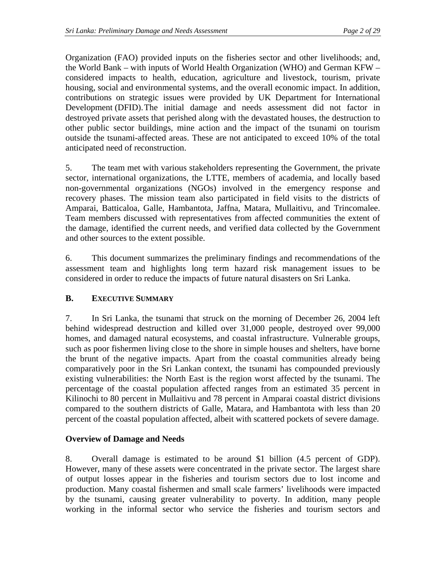<span id="page-3-0"></span>Organization (FAO) provided inputs on the fisheries sector and other livelihoods; and, the World Bank – with inputs of World Health Organization (WHO) and German KFW – considered impacts to health, education, agriculture and livestock, tourism, private housing, social and environmental systems, and the overall economic impact. In addition, contributions on strategic issues were provided by UK Department for International Development (DFID). The initial damage and needs assessment did not factor in destroyed private assets that perished along with the devastated houses, the destruction to other public sector buildings, mine action and the impact of the tsunami on tourism outside the tsunami-affected areas. These are not anticipated to exceed 10% of the total anticipated need of reconstruction.

5. The team met with various stakeholders representing the Government, the private sector, international organizations, the LTTE, members of academia, and locally based non-governmental organizations (NGOs) involved in the emergency response and recovery phases. The mission team also participated in field visits to the districts of Amparai, Batticaloa, Galle, Hambantota, Jaffna, Matara, Mullaitivu, and Trincomalee. Team members discussed with representatives from affected communities the extent of the damage, identified the current needs, and verified data collected by the Government and other sources to the extent possible.

6. This document summarizes the preliminary findings and recommendations of the assessment team and highlights long term hazard risk management issues to be considered in order to reduce the impacts of future natural disasters on Sri Lanka.

# **B. EXECUTIVE SUMMARY**

7. In Sri Lanka, the tsunami that struck on the morning of December 26, 2004 left behind widespread destruction and killed over 31,000 people, destroyed over 99,000 homes, and damaged natural ecosystems, and coastal infrastructure. Vulnerable groups, such as poor fishermen living close to the shore in simple houses and shelters, have borne the brunt of the negative impacts. Apart from the coastal communities already being comparatively poor in the Sri Lankan context, the tsunami has compounded previously existing vulnerabilities: the North East is the region worst affected by the tsunami. The percentage of the coastal population affected ranges from an estimated 35 percent in Kilinochi to 80 percent in Mullaitivu and 78 percent in Amparai coastal district divisions compared to the southern districts of Galle, Matara, and Hambantota with less than 20 percent of the coastal population affected, albeit with scattered pockets of severe damage.

# **Overview of Damage and Needs**

8. Overall damage is estimated to be around \$1 billion (4.5 percent of GDP). However, many of these assets were concentrated in the private sector. The largest share of output losses appear in the fisheries and tourism sectors due to lost income and production. Many coastal fishermen and small scale farmers' livelihoods were impacted by the tsunami, causing greater vulnerability to poverty. In addition, many people working in the informal sector who service the fisheries and tourism sectors and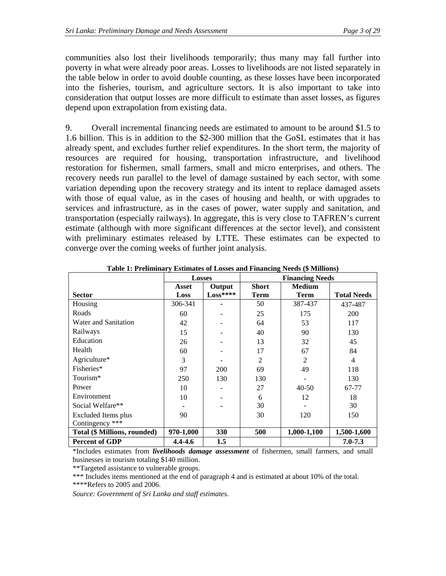communities also lost their livelihoods temporarily; thus many may fall further into poverty in what were already poor areas. Losses to livelihoods are not listed separately in the table below in order to avoid double counting, as these losses have been incorporated into the fisheries, tourism, and agriculture sectors. It is also important to take into consideration that output losses are more difficult to estimate than asset losses, as figures depend upon extrapolation from existing data.

9. Overall incremental financing needs are estimated to amount to be around \$1.5 to 1.6 billion. This is in addition to the \$2-300 million that the GoSL estimates that it has already spent, and excludes further relief expenditures. In the short term, the majority of resources are required for housing, transportation infrastructure, and livelihood restoration for fishermen, small farmers, small and micro enterprises, and others. The recovery needs run parallel to the level of damage sustained by each sector, with some variation depending upon the recovery strategy and its intent to replace damaged assets with those of equal value, as in the cases of housing and health, or with upgrades to services and infrastructure, as in the cases of power, water supply and sanitation, and transportation (especially railways). In aggregate, this is very close to TAFREN's current estimate (although with more significant differences at the sector level), and consistent with preliminary estimates released by LTTE. These estimates can be expected to converge over the coming weeks of further joint analysis.

|                              | <b>Losses</b>   |           | <b>Financing Needs</b> |                |                    |  |  |
|------------------------------|-----------------|-----------|------------------------|----------------|--------------------|--|--|
|                              | Output<br>Asset |           | <b>Short</b>           | <b>Medium</b>  |                    |  |  |
| <b>Sector</b>                | Loss            | $Loss***$ | <b>Term</b>            | <b>Term</b>    | <b>Total Needs</b> |  |  |
| Housing                      | 306-341         |           | 50                     | 387-437        | 437-487            |  |  |
| Roads                        | 60              |           | 25                     | 175            | 200                |  |  |
| Water and Sanitation         | 42              |           | 64                     | 53             | 117                |  |  |
| Railways                     | 15              |           | 40                     | 90             | 130                |  |  |
| Education                    | 26              |           | 13                     | 32             | 45                 |  |  |
| Health                       | 60              |           | 17                     | 67             | 84                 |  |  |
| Agriculture*                 | 3               |           | $\overline{2}$         | $\overline{2}$ | 4                  |  |  |
| Fisheries*                   | 97              | 200       | 69                     | 49             | 118                |  |  |
| Tourism*                     | 250             | 130       | 130                    |                | 130                |  |  |
| Power                        | 10              |           | 27                     | $40 - 50$      | 67-77              |  |  |
| Environment                  | 10              |           | 6                      | 12             | 18                 |  |  |
| Social Welfare**             |                 |           | 30                     |                | 30                 |  |  |
| Excluded Items plus          | 90              |           | 30                     | 120            | 150                |  |  |
| Contingency ***              |                 |           |                        |                |                    |  |  |
| Total (\$ Millions, rounded) | 970-1,000       | 330       | 500                    | 1,000-1,100    | 1,500-1,600        |  |  |
| <b>Percent of GDP</b>        | 4.4-4.6         | 1.5       |                        |                | $7.0 - 7.3$        |  |  |

**Table 1: Preliminary Estimates of Losses and Financing Needs (\$ Millions)** 

\*Includes estimates from *livelihoods damage assessment* of fishermen, small farmers, and small businesses in tourism totaling \$140 million.

\*\*Targeted assistance to vulnerable groups.

\*\*\* Includes items mentioned at the end of paragraph 4 and is estimated at about 10% of the total. \*\*\*\*Refers to 2005 and 2006.

*Source: Government of Sri Lanka and staff estimates.*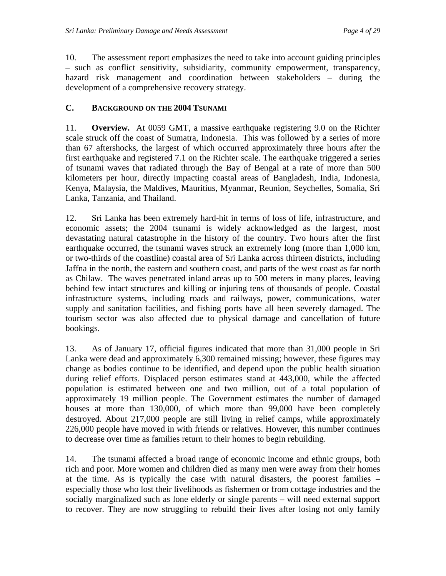<span id="page-5-0"></span>10. The assessment report emphasizes the need to take into account guiding principles – such as conflict sensitivity, subsidiarity, community empowerment, transparency, hazard risk management and coordination between stakeholders – during the development of a comprehensive recovery strategy.

# **C. BACKGROUND ON THE 2004 TSUNAMI**

11. **Overview.** At 0059 GMT, a massive earthquake registering 9.0 on the Richter scale struck off the coast of Sumatra, Indonesia. This was followed by a series of more than 67 aftershocks, the largest of which occurred approximately three hours after the first earthquake and registered 7.1 on the Richter scale. The earthquake triggered a series of tsunami waves that radiated through the Bay of Bengal at a rate of more than 500 kilometers per hour, directly impacting coastal areas of Bangladesh, India, Indonesia, Kenya, Malaysia, the Maldives, Mauritius, Myanmar, Reunion, Seychelles, Somalia, Sri Lanka, Tanzania, and Thailand.

12. Sri Lanka has been extremely hard-hit in terms of loss of life, infrastructure, and economic assets; the 2004 tsunami is widely acknowledged as the largest, most devastating natural catastrophe in the history of the country. Two hours after the first earthquake occurred, the tsunami waves struck an extremely long (more than 1,000 km, or two-thirds of the coastline) coastal area of Sri Lanka across thirteen districts, including Jaffna in the north, the eastern and southern coast, and parts of the west coast as far north as Chilaw. The waves penetrated inland areas up to 500 meters in many places, leaving behind few intact structures and killing or injuring tens of thousands of people. Coastal infrastructure systems, including roads and railways, power, communications, water supply and sanitation facilities, and fishing ports have all been severely damaged. The tourism sector was also affected due to physical damage and cancellation of future bookings.

13. As of January 17, official figures indicated that more than 31,000 people in Sri Lanka were dead and approximately 6,300 remained missing; however, these figures may change as bodies continue to be identified, and depend upon the public health situation during relief efforts. Displaced person estimates stand at 443,000, while the affected population is estimated between one and two million, out of a total population of approximately 19 million people. The Government estimates the number of damaged houses at more than 130,000, of which more than 99,000 have been completely destroyed. About 217,000 people are still living in relief camps, while approximately 226,000 people have moved in with friends or relatives. However, this number continues to decrease over time as families return to their homes to begin rebuilding.

14. The tsunami affected a broad range of economic income and ethnic groups, both rich and poor. More women and children died as many men were away from their homes at the time. As is typically the case with natural disasters, the poorest families – especially those who lost their livelihoods as fishermen or from cottage industries and the socially marginalized such as lone elderly or single parents – will need external support to recover. They are now struggling to rebuild their lives after losing not only family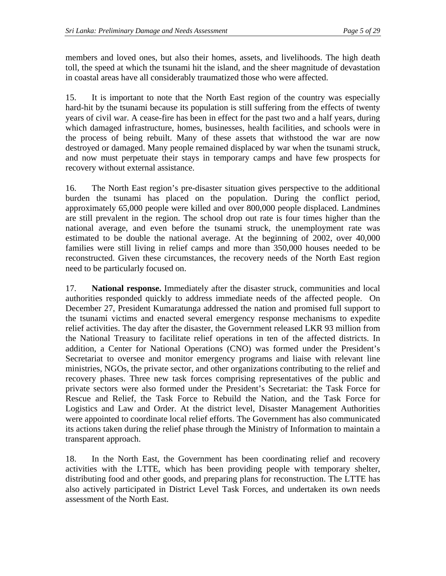members and loved ones, but also their homes, assets, and livelihoods. The high death toll, the speed at which the tsunami hit the island, and the sheer magnitude of devastation in coastal areas have all considerably traumatized those who were affected.

15. It is important to note that the North East region of the country was especially hard-hit by the tsunami because its population is still suffering from the effects of twenty years of civil war. A cease-fire has been in effect for the past two and a half years, during which damaged infrastructure, homes, businesses, health facilities, and schools were in the process of being rebuilt. Many of these assets that withstood the war are now destroyed or damaged. Many people remained displaced by war when the tsunami struck, and now must perpetuate their stays in temporary camps and have few prospects for recovery without external assistance.

16. The North East region's pre-disaster situation gives perspective to the additional burden the tsunami has placed on the population. During the conflict period, approximately 65,000 people were killed and over 800,000 people displaced. Landmines are still prevalent in the region. The school drop out rate is four times higher than the national average, and even before the tsunami struck, the unemployment rate was estimated to be double the national average. At the beginning of 2002, over 40,000 families were still living in relief camps and more than 350,000 houses needed to be reconstructed. Given these circumstances, the recovery needs of the North East region need to be particularly focused on.

17. **National response.** Immediately after the disaster struck, communities and local authorities responded quickly to address immediate needs of the affected people. On December 27, President Kumaratunga addressed the nation and promised full support to the tsunami victims and enacted several emergency response mechanisms to expedite relief activities. The day after the disaster, the Government released LKR 93 million from the National Treasury to facilitate relief operations in ten of the affected districts. In addition, a Center for National Operations (CNO) was formed under the President's Secretariat to oversee and monitor emergency programs and liaise with relevant line ministries, NGOs, the private sector, and other organizations contributing to the relief and recovery phases. Three new task forces comprising representatives of the public and private sectors were also formed under the President's Secretariat: the Task Force for Rescue and Relief, the Task Force to Rebuild the Nation, and the Task Force for Logistics and Law and Order. At the district level, Disaster Management Authorities were appointed to coordinate local relief efforts. The Government has also communicated its actions taken during the relief phase through the Ministry of Information to maintain a transparent approach.

18. In the North East, the Government has been coordinating relief and recovery activities with the LTTE, which has been providing people with temporary shelter, distributing food and other goods, and preparing plans for reconstruction. The LTTE has also actively participated in District Level Task Forces, and undertaken its own needs assessment of the North East.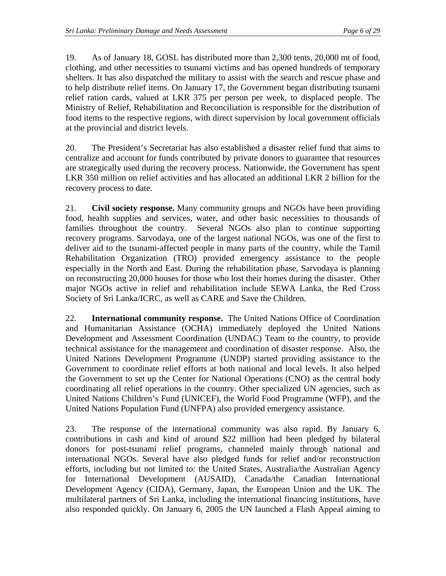19. As of January 18, GOSL has distributed more than 2,300 tents, 20,000 mt of food, clothing, and other necessities to tsunami victims and has opened hundreds of temporary shelters. It has also dispatched the military to assist with the search and rescue phase and to help distribute relief items. On January 17, the Government began distributing tsunami relief ration cards, valued at LKR 375 per person per week, to displaced people. The Ministry of Relief, Rehabilitation and Reconciliation is responsible for the distribution of food items to the respective regions, with direct supervision by local government officials at the provincial and district levels.

20. The President's Secretariat has also established a disaster relief fund that aims to centralize and account for funds contributed by private donors to guarantee that resources are strategically used during the recovery process. Nationwide, the Government has spent LKR 350 million on relief activities and has allocated an additional LKR 2 billion for the recovery process to date.

21. **Civil society response.** Many community groups and NGOs have been providing food, health supplies and services, water, and other basic necessities to thousands of families throughout the country. Several NGOs also plan to continue supporting recovery programs. Sarvodaya, one of the largest national NGOs, was one of the first to deliver aid to the tsunami-affected people in many parts of the country, while the Tamil Rehabilitation Organization (TRO) provided emergency assistance to the people especially in the North and East. During the rehabilitation phase, Sarvodaya is planning on reconstructing 20,000 houses for those who lost their homes during the disaster. Other major NGOs active in relief and rehabilitation include SEWA Lanka, the Red Cross Society of Sri Lanka/ICRC, as well as CARE and Save the Children.

22. **International community response.** The United Nations Office of Coordination and Humanitarian Assistance (OCHA) immediately deployed the United Nations Development and Assessment Coordination (UNDAC) Team to the country, to provide technical assistance for the management and coordination of disaster response. Also, the United Nations Development Programme (UNDP) started providing assistance to the Government to coordinate relief efforts at both national and local levels. It also helped the Government to set up the Center for National Operations (CNO) as the central body coordinating all relief operations in the country. Other specialized UN agencies, such as United Nations Children's Fund (UNICEF), the World Food Programme (WFP), and the United Nations Population Fund (UNFPA) also provided emergency assistance.

23. The response of the international community was also rapid. By January 6, contributions in cash and kind of around \$22 million had been pledged by bilateral donors for post-tsunami relief programs, channeled mainly through national and international NGOs. Several have also pledged funds for relief and/or reconstruction efforts, including but not limited to: the United States, Australia/the Australian Agency for International Development (AUSAID), Canada/the Canadian International Development Agency (CIDA), Germany, Japan, the European Union and the UK. The multilateral partners of Sri Lanka, including the international financing institutions, have also responded quickly. On January 6, 2005 the UN launched a Flash Appeal aiming to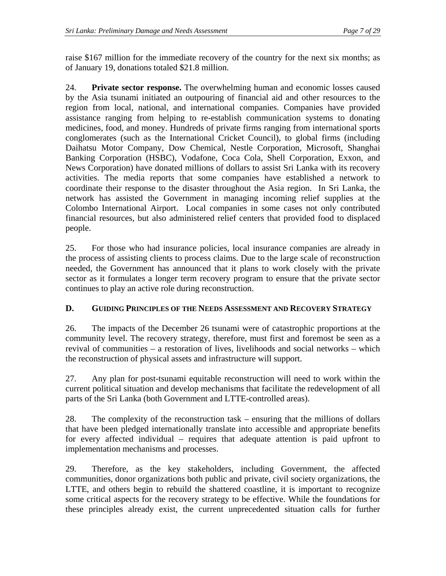<span id="page-8-0"></span>raise \$167 million for the immediate recovery of the country for the next six months; as of January 19, donations totaled \$21.8 million.

24. **Private sector response.** The overwhelming human and economic losses caused by the Asia tsunami initiated an outpouring of financial aid and other resources to the region from local, national, and international companies. Companies have provided assistance ranging from helping to re-establish communication systems to donating medicines, food, and money. Hundreds of private firms ranging from international sports conglomerates (such as the International Cricket Council), to global firms (including Daihatsu Motor Company, Dow Chemical, Nestle Corporation, Microsoft, Shanghai Banking Corporation (HSBC), Vodafone, Coca Cola, Shell Corporation, Exxon, and News Corporation) have donated millions of dollars to assist Sri Lanka with its recovery activities. The media reports that some companies have established a network to coordinate their response to the disaster throughout the Asia region. In Sri Lanka, the network has assisted the Government in managing incoming relief supplies at the Colombo International Airport. Local companies in some cases not only contributed financial resources, but also administered relief centers that provided food to displaced people.

25. For those who had insurance policies, local insurance companies are already in the process of assisting clients to process claims. Due to the large scale of reconstruction needed, the Government has announced that it plans to work closely with the private sector as it formulates a longer term recovery program to ensure that the private sector continues to play an active role during reconstruction.

# **D. GUIDING PRINCIPLES OF THE NEEDS ASSESSMENT AND RECOVERY STRATEGY**

26. The impacts of the December 26 tsunami were of catastrophic proportions at the community level. The recovery strategy, therefore, must first and foremost be seen as a revival of communities – a restoration of lives, livelihoods and social networks – which the reconstruction of physical assets and infrastructure will support.

27. Any plan for post-tsunami equitable reconstruction will need to work within the current political situation and develop mechanisms that facilitate the redevelopment of all parts of the Sri Lanka (both Government and LTTE-controlled areas).

28. The complexity of the reconstruction task – ensuring that the millions of dollars that have been pledged internationally translate into accessible and appropriate benefits for every affected individual – requires that adequate attention is paid upfront to implementation mechanisms and processes.

29. Therefore, as the key stakeholders, including Government, the affected communities, donor organizations both public and private, civil society organizations, the LTTE, and others begin to rebuild the shattered coastline, it is important to recognize some critical aspects for the recovery strategy to be effective. While the foundations for these principles already exist, the current unprecedented situation calls for further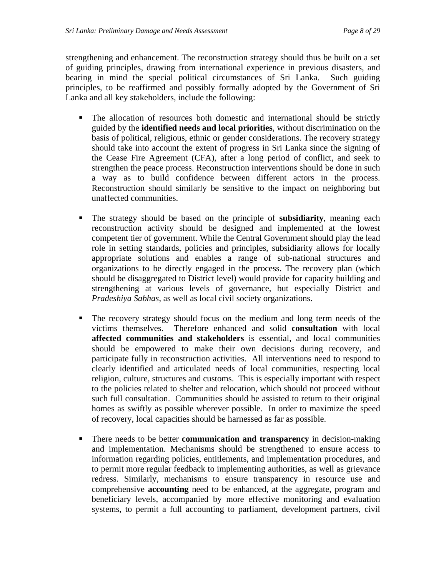strengthening and enhancement. The reconstruction strategy should thus be built on a set of guiding principles, drawing from international experience in previous disasters, and bearing in mind the special political circumstances of Sri Lanka. Such guiding principles, to be reaffirmed and possibly formally adopted by the Government of Sri Lanka and all key stakeholders, include the following:

- The allocation of resources both domestic and international should be strictly guided by the **identified needs and local priorities**, without discrimination on the basis of political, religious, ethnic or gender considerations. The recovery strategy should take into account the extent of progress in Sri Lanka since the signing of the Cease Fire Agreement (CFA), after a long period of conflict, and seek to strengthen the peace process. Reconstruction interventions should be done in such a way as to build confidence between different actors in the process. Reconstruction should similarly be sensitive to the impact on neighboring but unaffected communities.
- The strategy should be based on the principle of **subsidiarity**, meaning each reconstruction activity should be designed and implemented at the lowest competent tier of government. While the Central Government should play the lead role in setting standards, policies and principles, subsidiarity allows for locally appropriate solutions and enables a range of sub-national structures and organizations to be directly engaged in the process. The recovery plan (which should be disaggregated to District level) would provide for capacity building and strengthening at various levels of governance, but especially District and *Pradeshiya Sabhas*, as well as local civil society organizations.
- The recovery strategy should focus on the medium and long term needs of the victims themselves.Therefore enhanced and solid **consultation** with local **affected communities and stakeholders** is essential, and local communities should be empowered to make their own decisions during recovery, and participate fully in reconstruction activities. All interventions need to respond to clearly identified and articulated needs of local communities, respecting local religion, culture, structures and customs. This is especially important with respect to the policies related to shelter and relocation, which should not proceed without such full consultation. Communities should be assisted to return to their original homes as swiftly as possible wherever possible. In order to maximize the speed of recovery, local capacities should be harnessed as far as possible.
- **There needs to be better communication and transparency** in decision-making and implementation. Mechanisms should be strengthened to ensure access to information regarding policies, entitlements, and implementation procedures, and to permit more regular feedback to implementing authorities, as well as grievance redress. Similarly, mechanisms to ensure transparency in resource use and comprehensive **accounting** need to be enhanced, at the aggregate, program and beneficiary levels, accompanied by more effective monitoring and evaluation systems, to permit a full accounting to parliament, development partners, civil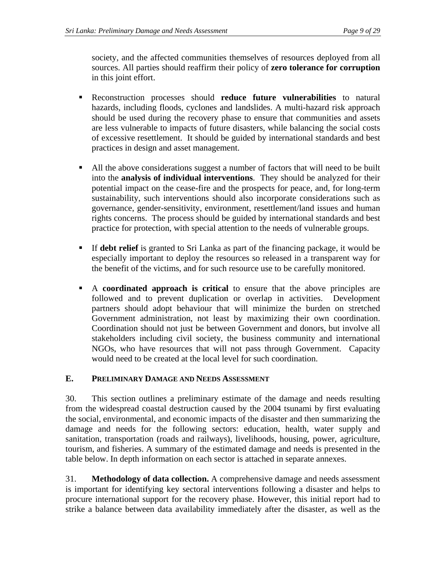<span id="page-10-0"></span>society, and the affected communities themselves of resources deployed from all sources. All parties should reaffirm their policy of **zero tolerance for corruption** in this joint effort.

- Reconstruction processes should **reduce future vulnerabilities** to natural hazards, including floods, cyclones and landslides. A multi-hazard risk approach should be used during the recovery phase to ensure that communities and assets are less vulnerable to impacts of future disasters, while balancing the social costs of excessive resettlement. It should be guided by international standards and best practices in design and asset management.
- All the above considerations suggest a number of factors that will need to be built into the **analysis of individual interventions**. They should be analyzed for their potential impact on the cease-fire and the prospects for peace, and, for long-term sustainability, such interventions should also incorporate considerations such as governance, gender-sensitivity, environment, resettlement/land issues and human rights concerns. The process should be guided by international standards and best practice for protection, with special attention to the needs of vulnerable groups.
- If **debt relief** is granted to Sri Lanka as part of the financing package, it would be especially important to deploy the resources so released in a transparent way for the benefit of the victims, and for such resource use to be carefully monitored.
- A **coordinated approach is critical** to ensure that the above principles are followed and to prevent duplication or overlap in activities. Development partners should adopt behaviour that will minimize the burden on stretched Government administration, not least by maximizing their own coordination. Coordination should not just be between Government and donors, but involve all stakeholders including civil society, the business community and international NGOs, who have resources that will not pass through Government. Capacity would need to be created at the local level for such coordination.

# **E. PRELIMINARY DAMAGE AND NEEDS ASSESSMENT**

30. This section outlines a preliminary estimate of the damage and needs resulting from the widespread coastal destruction caused by the 2004 tsunami by first evaluating the social, environmental, and economic impacts of the disaster and then summarizing the damage and needs for the following sectors: education, health, water supply and sanitation, transportation (roads and railways), livelihoods, housing, power, agriculture, tourism, and fisheries. A summary of the estimated damage and needs is presented in the table below. In depth information on each sector is attached in separate annexes.

31. **Methodology of data collection.** A comprehensive damage and needs assessment is important for identifying key sectoral interventions following a disaster and helps to procure international support for the recovery phase. However, this initial report had to strike a balance between data availability immediately after the disaster, as well as the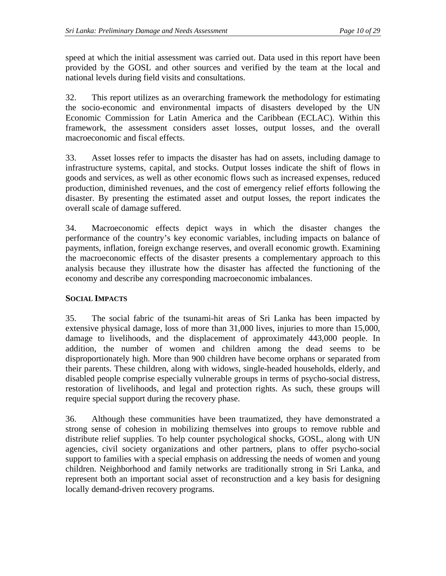speed at which the initial assessment was carried out. Data used in this report have been provided by the GOSL and other sources and verified by the team at the local and national levels during field visits and consultations.

32. This report utilizes as an overarching framework the methodology for estimating the socio-economic and environmental impacts of disasters developed by the UN Economic Commission for Latin America and the Caribbean (ECLAC). Within this framework, the assessment considers asset losses, output losses, and the overall macroeconomic and fiscal effects.

33. Asset losses refer to impacts the disaster has had on assets, including damage to infrastructure systems, capital, and stocks. Output losses indicate the shift of flows in goods and services, as well as other economic flows such as increased expenses, reduced production, diminished revenues, and the cost of emergency relief efforts following the disaster. By presenting the estimated asset and output losses, the report indicates the overall scale of damage suffered.

34. Macroeconomic effects depict ways in which the disaster changes the performance of the country's key economic variables, including impacts on balance of payments, inflation, foreign exchange reserves, and overall economic growth. Examining the macroeconomic effects of the disaster presents a complementary approach to this analysis because they illustrate how the disaster has affected the functioning of the economy and describe any corresponding macroeconomic imbalances.

### **SOCIAL IMPACTS**

35. The social fabric of the tsunami-hit areas of Sri Lanka has been impacted by extensive physical damage, loss of more than 31,000 lives, injuries to more than 15,000, damage to livelihoods, and the displacement of approximately 443,000 people. In addition, the number of women and children among the dead seems to be disproportionately high. More than 900 children have become orphans or separated from their parents. These children, along with widows, single-headed households, elderly, and disabled people comprise especially vulnerable groups in terms of psycho-social distress, restoration of livelihoods, and legal and protection rights. As such, these groups will require special support during the recovery phase.

36. Although these communities have been traumatized, they have demonstrated a strong sense of cohesion in mobilizing themselves into groups to remove rubble and distribute relief supplies. To help counter psychological shocks, GOSL, along with UN agencies, civil society organizations and other partners, plans to offer psycho-social support to families with a special emphasis on addressing the needs of women and young children. Neighborhood and family networks are traditionally strong in Sri Lanka, and represent both an important social asset of reconstruction and a key basis for designing locally demand-driven recovery programs.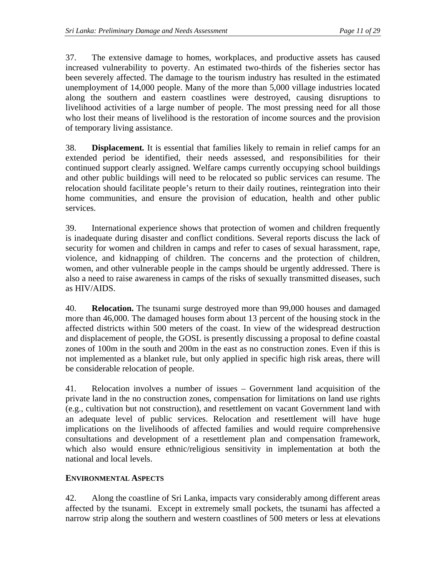37. The extensive damage to homes, workplaces, and productive assets has caused increased vulnerability to poverty. An estimated two-thirds of the fisheries sector has been severely affected. The damage to the tourism industry has resulted in the estimated unemployment of 14,000 people. Many of the more than 5,000 village industries located along the southern and eastern coastlines were destroyed, causing disruptions to livelihood activities of a large number of people. The most pressing need for all those who lost their means of livelihood is the restoration of income sources and the provision of temporary living assistance.

38. **Displacement***.* It is essential that families likely to remain in relief camps for an extended period be identified, their needs assessed, and responsibilities for their continued support clearly assigned. Welfare camps currently occupying school buildings and other public buildings will need to be relocated so public services can resume. The relocation should facilitate people's return to their daily routines, reintegration into their home communities, and ensure the provision of education, health and other public services.

39. International experience shows that protection of women and children frequently is inadequate during disaster and conflict conditions. Several reports discuss the lack of security for women and children in camps and refer to cases of sexual harassment, rape, violence, and kidnapping of children. The concerns and the protection of children, women, and other vulnerable people in the camps should be urgently addressed. There is also a need to raise awareness in camps of the risks of sexually transmitted diseases, such as HIV/AIDS.

40. **Relocation.** The tsunami surge destroyed more than 99,000 houses and damaged more than 46,000. The damaged houses form about 13 percent of the housing stock in the affected districts within 500 meters of the coast. In view of the widespread destruction and displacement of people, the GOSL is presently discussing a proposal to define coastal zones of 100m in the south and 200m in the east as no construction zones. Even if this is not implemented as a blanket rule, but only applied in specific high risk areas, there will be considerable relocation of people.

41. Relocation involves a number of issues – Government land acquisition of the private land in the no construction zones, compensation for limitations on land use rights (e.g., cultivation but not construction), and resettlement on vacant Government land with an adequate level of public services. Relocation and resettlement will have huge implications on the livelihoods of affected families and would require comprehensive consultations and development of a resettlement plan and compensation framework, which also would ensure ethnic/religious sensitivity in implementation at both the national and local levels.

# **ENVIRONMENTAL ASPECTS**

42. Along the coastline of Sri Lanka, impacts vary considerably among different areas affected by the tsunami. Except in extremely small pockets, the tsunami has affected a narrow strip along the southern and western coastlines of 500 meters or less at elevations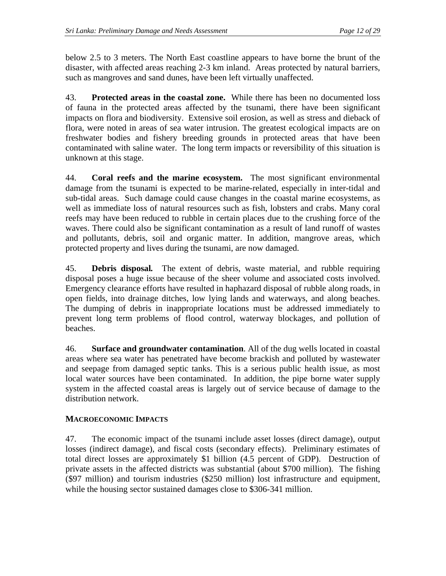below 2.5 to 3 meters. The North East coastline appears to have borne the brunt of the disaster, with affected areas reaching 2-3 km inland. Areas protected by natural barriers, such as mangroves and sand dunes, have been left virtually unaffected.

43. **Protected areas in the coastal zone.** While there has been no documented loss of fauna in the protected areas affected by the tsunami, there have been significant impacts on flora and biodiversity. Extensive soil erosion, as well as stress and dieback of flora, were noted in areas of sea water intrusion. The greatest ecological impacts are on freshwater bodies and fishery breeding grounds in protected areas that have been contaminated with saline water. The long term impacts or reversibility of this situation is unknown at this stage.

44. **Coral reefs and the marine ecosystem.**The most significant environmental damage from the tsunami is expected to be marine-related, especially in inter-tidal and sub-tidal areas. Such damage could cause changes in the coastal marine ecosystems, as well as immediate loss of natural resources such as fish, lobsters and crabs. Many coral reefs may have been reduced to rubble in certain places due to the crushing force of the waves. There could also be significant contamination as a result of land runoff of wastes and pollutants, debris, soil and organic matter. In addition, mangrove areas, which protected property and lives during the tsunami, are now damaged.

45. **Debris disposal***.* The extent of debris, waste material, and rubble requiring disposal poses a huge issue because of the sheer volume and associated costs involved. Emergency clearance efforts have resulted in haphazard disposal of rubble along roads, in open fields, into drainage ditches, low lying lands and waterways, and along beaches. The dumping of debris in inappropriate locations must be addressed immediately to prevent long term problems of flood control, waterway blockages, and pollution of beaches.

46. **Surface and groundwater contamination**. All of the dug wells located in coastal areas where sea water has penetrated have become brackish and polluted by wastewater and seepage from damaged septic tanks. This is a serious public health issue, as most local water sources have been contaminated. In addition, the pipe borne water supply system in the affected coastal areas is largely out of service because of damage to the distribution network.

# **MACROECONOMIC IMPACTS**

47. The economic impact of the tsunami include asset losses (direct damage), output losses (indirect damage), and fiscal costs (secondary effects). Preliminary estimates of total direct losses are approximately \$1 billion (4.5 percent of GDP). Destruction of private assets in the affected districts was substantial (about \$700 million). The fishing (\$97 million) and tourism industries (\$250 million) lost infrastructure and equipment, while the housing sector sustained damages close to \$306-341 million.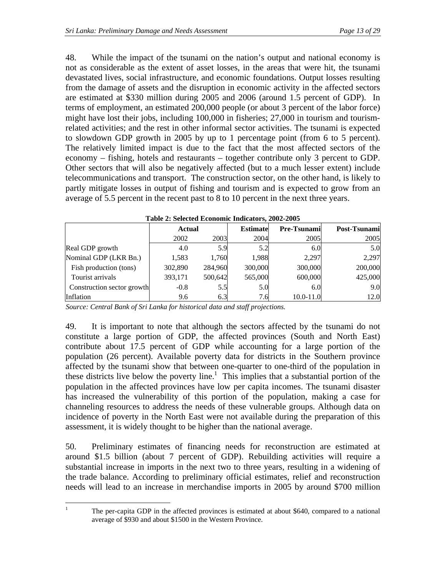48. While the impact of the tsunami on the nation's output and national economy is not as considerable as the extent of asset losses, in the areas that were hit, the tsunami devastated lives, social infrastructure, and economic foundations. Output losses resulting from the damage of assets and the disruption in economic activity in the affected sectors are estimated at \$330 million during 2005 and 2006 (around 1.5 percent of GDP). In terms of employment, an estimated 200,000 people (or about 3 percent of the labor force) might have lost their jobs, including 100,000 in fisheries; 27,000 in tourism and tourismrelated activities; and the rest in other informal sector activities. The tsunami is expected to slowdown GDP growth in 2005 by up to 1 percentage point (from 6 to 5 percent). The relatively limited impact is due to the fact that the most affected sectors of the economy – fishing, hotels and restaurants – together contribute only 3 percent to GDP. Other sectors that will also be negatively affected (but to a much lesser extent) include telecommunications and transport. The construction sector, on the other hand, is likely to partly mitigate losses in output of fishing and tourism and is expected to grow from an average of 5.5 percent in the recent past to 8 to 10 percent in the next three years.

| Table 2: Selected Economic Indicators, 2002-2005 |         |                                  |         |                     |              |  |  |  |  |
|--------------------------------------------------|---------|----------------------------------|---------|---------------------|--------------|--|--|--|--|
|                                                  |         | <b>Estimate</b><br><b>Actual</b> |         | <b>Pre-Tsunamil</b> | Post-Tsunami |  |  |  |  |
|                                                  | 2002    | 2003                             | 2004    | 2005                | 2005         |  |  |  |  |
| Real GDP growth                                  | 4.0     | 5.9                              | 5.2     | 6.0                 | 5.0          |  |  |  |  |
| Nominal GDP (LKR Bn.)                            | 1,583   | 1.760                            | 1,988   | 2,297               | 2,297        |  |  |  |  |
| Fish production (tons)                           | 302,890 | 284,960                          | 300,000 | 300,000             | 200,000      |  |  |  |  |
| Tourist arrivals                                 | 393,171 | 500,642                          | 565,000 | 600,000             | 425,000      |  |  |  |  |
| Construction sector growth                       | $-0.8$  | 5.5                              | 5.0     | 6.0                 | 9.0          |  |  |  |  |
| Inflation                                        | 9.6     | 6.3                              | 7.6     | 10.0-11.0           | 12.0         |  |  |  |  |

**Table 2: Selected Economic Indicators, 2002-2005** 

*Source: Central Bank of Sri Lanka for historical data and staff projections.*

49. It is important to note that although the sectors affected by the tsunami do not constitute a large portion of GDP, the affected provinces (South and North East) contribute about 17.5 percent of GDP while accounting for a large portion of the population (26 percent). Available poverty data for districts in the Southern province affected by the tsunami show that between one-quarter to one-third of the population in these districts live below the poverty line.<sup>[1](#page-14-0)</sup> This implies that a substantial portion of the population in the affected provinces have low per capita incomes. The tsunami disaster has increased the vulnerability of this portion of the population, making a case for channeling resources to address the needs of these vulnerable groups. Although data on incidence of poverty in the North East were not available during the preparation of this assessment, it is widely thought to be higher than the national average.

50. Preliminary estimates of financing needs for reconstruction are estimated at around \$1.5 billion (about 7 percent of GDP). Rebuilding activities will require a substantial increase in imports in the next two to three years, resulting in a widening of the trade balance. According to preliminary official estimates, relief and reconstruction needs will lead to an increase in merchandise imports in 2005 by around \$700 million

<span id="page-14-0"></span> $\frac{1}{1}$ 

The per-capita GDP in the affected provinces is estimated at about \$640, compared to a national average of \$930 and about \$1500 in the Western Province.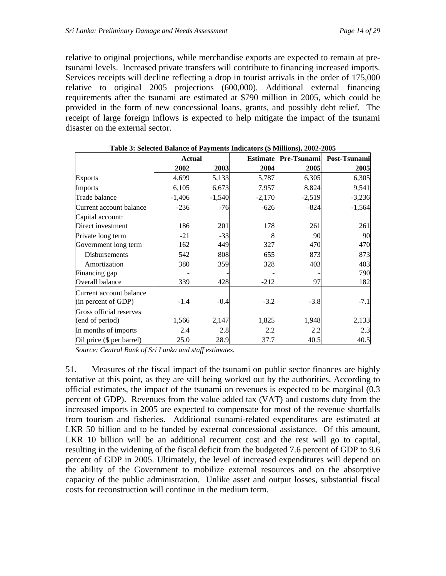relative to original projections, while merchandise exports are expected to remain at pretsunami levels. Increased private transfers will contribute to financing increased imports. Services receipts will decline reflecting a drop in tourist arrivals in the order of 175,000 relative to original 2005 projections (600,000). Additional external financing requirements after the tsunami are estimated at \$790 million in 2005, which could be provided in the form of new concessional loans, grants, and possibly debt relief. The receipt of large foreign inflows is expected to help mitigate the impact of the tsunami disaster on the external sector.

| rabic $\sigma$ , belected balance of Fayments mulcators ( $\psi$ millions), 2002-2005 |               |          |          |                             |              |  |  |  |
|---------------------------------------------------------------------------------------|---------------|----------|----------|-----------------------------|--------------|--|--|--|
|                                                                                       | <b>Actual</b> |          |          | <b>Estimate</b> Pre-Tsunami | Post-Tsunami |  |  |  |
|                                                                                       | 2002          | 2003     | 2004     | 2005                        | 2005         |  |  |  |
| <b>Exports</b>                                                                        | 4,699         | 5,133    | 5,787    | 6,305                       | 6,305        |  |  |  |
| Imports                                                                               | 6,105         | 6,673    | 7,957    | 8.824                       | 9,541        |  |  |  |
| Trade balance                                                                         | $-1,406$      | $-1,540$ | $-2,170$ | $-2,519$                    | $-3,236$     |  |  |  |
| Current account balance                                                               | $-236$        | $-76$    | $-626$   | $-824$                      | $-1,564$     |  |  |  |
| Capital account:                                                                      |               |          |          |                             |              |  |  |  |
| Direct investment                                                                     | 186           | 201      | 178      | 261                         | 261          |  |  |  |
| Private long term                                                                     | $-21$         | $-33$    |          | 90                          | 90           |  |  |  |
| Government long term                                                                  | 162           | 449      | 327      | 470                         | 470          |  |  |  |
| Disbursements                                                                         | 542           | 808      | 655      | 873                         | 873          |  |  |  |
| Amortization                                                                          | 380           | 359      | 328      | 403                         | 403          |  |  |  |
| Financing gap                                                                         |               |          |          |                             | 790          |  |  |  |
| Overall balance                                                                       | 339           | 428      | $-212$   | 97                          | 182          |  |  |  |
| Current account balance                                                               |               |          |          |                             |              |  |  |  |
| (in percent of GDP)                                                                   | $-1.4$        | $-0.4$   | $-3.2$   | $-3.8$                      | $-7.1$       |  |  |  |
| Gross official reserves                                                               |               |          |          |                             |              |  |  |  |
| (end of period)                                                                       | 1,566         | 2,147    | 1,825    | 1,948                       | 2,133        |  |  |  |
| In months of imports                                                                  | 2.4           | 2.8      | 2.2      | 2.2                         | 2.3          |  |  |  |
| Oil price (\$ per barrel)                                                             | 25.0          | 28.9     | 37.7     | 40.5                        | 40.5         |  |  |  |

| Table 3: Selected Balance of Payments Indicators (\$ Millions), 2002-2005 |  |  |
|---------------------------------------------------------------------------|--|--|
|                                                                           |  |  |

*Source: Central Bank of Sri Lanka and staff estimates.* 

51. Measures of the fiscal impact of the tsunami on public sector finances are highly tentative at this point, as they are still being worked out by the authorities. According to official estimates, the impact of the tsunami on revenues is expected to be marginal (0.3 percent of GDP). Revenues from the value added tax (VAT) and customs duty from the increased imports in 2005 are expected to compensate for most of the revenue shortfalls from tourism and fisheries. Additional tsunami-related expenditures are estimated at LKR 50 billion and to be funded by external concessional assistance. Of this amount, LKR 10 billion will be an additional recurrent cost and the rest will go to capital, resulting in the widening of the fiscal deficit from the budgeted 7.6 percent of GDP to 9.6 percent of GDP in 2005. Ultimately, the level of increased expenditures will depend on the ability of the Government to mobilize external resources and on the absorptive capacity of the public administration. Unlike asset and output losses, substantial fiscal costs for reconstruction will continue in the medium term.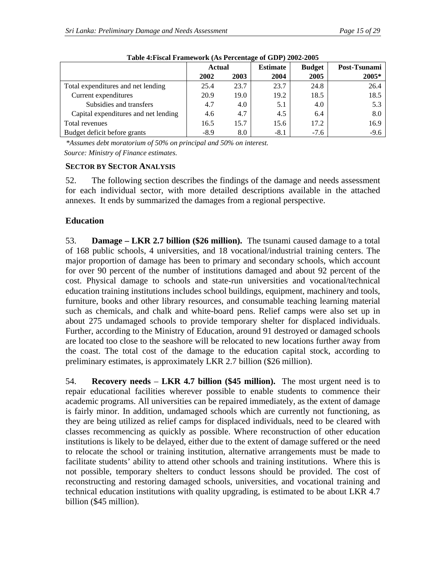|                                      | <b>Actual</b> |      | <b>Estimate</b> | <b>Budget</b> | Post-Tsunami |
|--------------------------------------|---------------|------|-----------------|---------------|--------------|
|                                      | 2002          | 2003 | 2004            | 2005          | 2005*        |
| Total expenditures and net lending   | 25.4          | 23.7 | 23.7            | 24.8          | 26.4         |
| Current expenditures                 | 20.9          | 19.0 | 19.2            | 18.5          | 18.5         |
| Subsidies and transfers              | 4.7           | 4.0  | 5.1             | 4.0           | 5.3          |
| Capital expenditures and net lending | 4.6           | 4.7  | 4.5             | 6.4           | 8.0          |
| Total revenues                       | 16.5          | 15.7 | 15.6            | 17.2          | 16.9         |
| Budget deficit before grants         | $-8.9$        | 8.0  | $-8.1$          | $-7.6$        | $-9.6$       |

**Table 4:Fiscal Framework (As Percentage of GDP) 2002-2005** 

 *\*Assumes debt moratorium of 50% on principal and 50% on interest.* 

*Source: Ministry of Finance estimates.* 

#### **SECTOR BY SECTOR ANALYSIS**

52. The following section describes the findings of the damage and needs assessment for each individual sector, with more detailed descriptions available in the attached annexes. It ends by summarized the damages from a regional perspective.

### **Education**

53. **Damage – LKR 2.7 billion (\$26 million).** The tsunami caused damage to a total of 168 public schools, 4 universities, and 18 vocational/industrial training centers. The major proportion of damage has been to primary and secondary schools, which account for over 90 percent of the number of institutions damaged and about 92 percent of the cost. Physical damage to schools and state-run universities and vocational/technical education training institutions includes school buildings, equipment, machinery and tools, furniture, books and other library resources, and consumable teaching learning material such as chemicals, and chalk and white-board pens. Relief camps were also set up in about 275 undamaged schools to provide temporary shelter for displaced individuals. Further, according to the Ministry of Education, around 91 destroyed or damaged schools are located too close to the seashore will be relocated to new locations further away from the coast. The total cost of the damage to the education capital stock, according to preliminary estimates, is approximately LKR 2.7 billion (\$26 million).

54. **Recovery needs** – **LKR 4.7 billion (\$45 million).** The most urgent need is to repair educational facilities wherever possible to enable students to commence their academic programs. All universities can be repaired immediately, as the extent of damage is fairly minor. In addition, undamaged schools which are currently not functioning, as they are being utilized as relief camps for displaced individuals, need to be cleared with classes recommencing as quickly as possible. Where reconstruction of other education institutions is likely to be delayed, either due to the extent of damage suffered or the need to relocate the school or training institution, alternative arrangements must be made to facilitate students' ability to attend other schools and training institutions. Where this is not possible, temporary shelters to conduct lessons should be provided. The cost of reconstructing and restoring damaged schools, universities, and vocational training and technical education institutions with quality upgrading, is estimated to be about LKR 4.7 billion (\$45 million).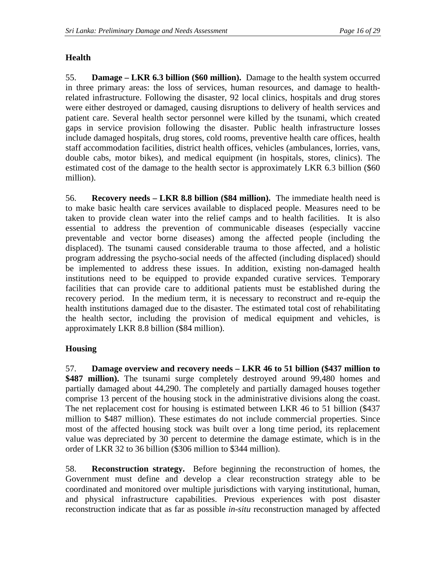# **Health**

55. **Damage – LKR 6.3 billion (\$60 million).** Damage to the health system occurred in three primary areas: the loss of services, human resources, and damage to healthrelated infrastructure. Following the disaster, 92 local clinics, hospitals and drug stores were either destroyed or damaged, causing disruptions to delivery of health services and patient care. Several health sector personnel were killed by the tsunami, which created gaps in service provision following the disaster. Public health infrastructure losses include damaged hospitals, drug stores, cold rooms, preventive health care offices, health staff accommodation facilities, district health offices, vehicles (ambulances, lorries, vans, double cabs, motor bikes), and medical equipment (in hospitals, stores, clinics). The estimated cost of the damage to the health sector is approximately LKR 6.3 billion (\$60 million).

56. **Recovery needs – LKR 8.8 billion (\$84 million).** The immediate health need is to make basic health care services available to displaced people. Measures need to be taken to provide clean water into the relief camps and to health facilities. It is also essential to address the prevention of communicable diseases (especially vaccine preventable and vector borne diseases) among the affected people (including the displaced). The tsunami caused considerable trauma to those affected, and a holistic program addressing the psycho-social needs of the affected (including displaced) should be implemented to address these issues. In addition, existing non-damaged health institutions need to be equipped to provide expanded curative services. Temporary facilities that can provide care to additional patients must be established during the recovery period. In the medium term, it is necessary to reconstruct and re-equip the health institutions damaged due to the disaster. The estimated total cost of rehabilitating the health sector, including the provision of medical equipment and vehicles, is approximately LKR 8.8 billion (\$84 million).

### **Housing**

57. **Damage overview and recovery needs – LKR 46 to 51 billion (\$437 million to**  \$487 million). The tsunami surge completely destroyed around 99,480 homes and partially damaged about 44,290. The completely and partially damaged houses together comprise 13 percent of the housing stock in the administrative divisions along the coast. The net replacement cost for housing is estimated between LKR 46 to 51 billion (\$437 million to \$487 million). These estimates do not include commercial properties. Since most of the affected housing stock was built over a long time period, its replacement value was depreciated by 30 percent to determine the damage estimate, which is in the order of LKR 32 to 36 billion (\$306 million to \$344 million).

58. **Reconstruction strategy.** Before beginning the reconstruction of homes, the Government must define and develop a clear reconstruction strategy able to be coordinated and monitored over multiple jurisdictions with varying institutional, human, and physical infrastructure capabilities. Previous experiences with post disaster reconstruction indicate that as far as possible *in-situ* reconstruction managed by affected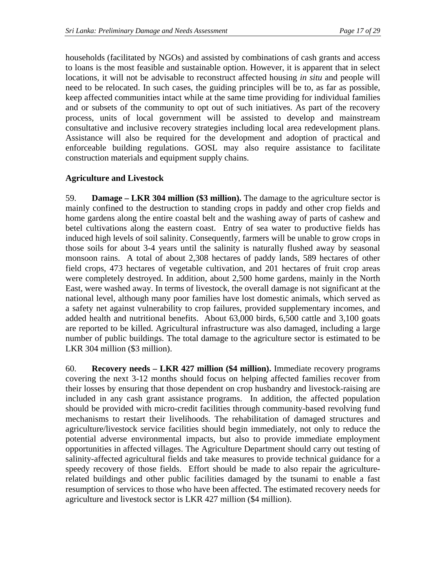households (facilitated by NGOs) and assisted by combinations of cash grants and access to loans is the most feasible and sustainable option. However, it is apparent that in select locations, it will not be advisable to reconstruct affected housing *in situ* and people will need to be relocated. In such cases, the guiding principles will be to, as far as possible, keep affected communities intact while at the same time providing for individual families and or subsets of the community to opt out of such initiatives. As part of the recovery process, units of local government will be assisted to develop and mainstream consultative and inclusive recovery strategies including local area redevelopment plans. Assistance will also be required for the development and adoption of practical and enforceable building regulations. GOSL may also require assistance to facilitate construction materials and equipment supply chains.

#### **Agriculture and Livestock**

59. **Damage – LKR 304 million (\$3 million).** The damage to the agriculture sector is mainly confined to the destruction to standing crops in paddy and other crop fields and home gardens along the entire coastal belt and the washing away of parts of cashew and betel cultivations along the eastern coast. Entry of sea water to productive fields has induced high levels of soil salinity. Consequently, farmers will be unable to grow crops in those soils for about 3-4 years until the salinity is naturally flushed away by seasonal monsoon rains. A total of about 2,308 hectares of paddy lands, 589 hectares of other field crops, 473 hectares of vegetable cultivation, and 201 hectares of fruit crop areas were completely destroyed. In addition, about 2,500 home gardens, mainly in the North East, were washed away. In terms of livestock, the overall damage is not significant at the national level, although many poor families have lost domestic animals, which served as a safety net against vulnerability to crop failures, provided supplementary incomes, and added health and nutritional benefits. About 63,000 birds, 6,500 cattle and 3,100 goats are reported to be killed. Agricultural infrastructure was also damaged, including a large number of public buildings. The total damage to the agriculture sector is estimated to be LKR 304 million (\$3 million).

60. **Recovery needs – LKR 427 million (\$4 million).** Immediate recovery programs covering the next 3-12 months should focus on helping affected families recover from their losses by ensuring that those dependent on crop husbandry and livestock-raising are included in any cash grant assistance programs. In addition, the affected population should be provided with micro-credit facilities through community-based revolving fund mechanisms to restart their livelihoods. The rehabilitation of damaged structures and agriculture/livestock service facilities should begin immediately, not only to reduce the potential adverse environmental impacts, but also to provide immediate employment opportunities in affected villages. The Agriculture Department should carry out testing of salinity-affected agricultural fields and take measures to provide technical guidance for a speedy recovery of those fields. Effort should be made to also repair the agriculturerelated buildings and other public facilities damaged by the tsunami to enable a fast resumption of services to those who have been affected. The estimated recovery needs for agriculture and livestock sector is LKR 427 million (\$4 million).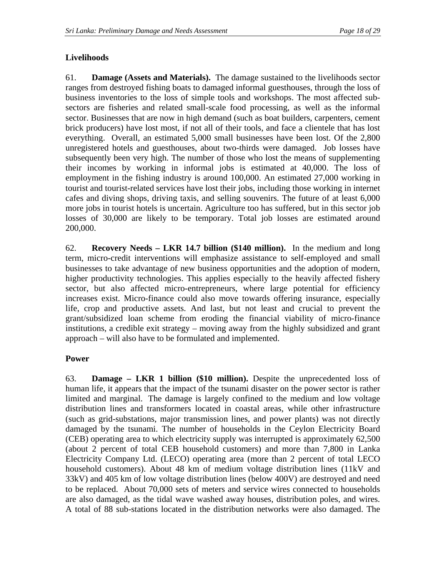# **Livelihoods**

61. **Damage (Assets and Materials).** The damage sustained to the livelihoods sector ranges from destroyed fishing boats to damaged informal guesthouses, through the loss of business inventories to the loss of simple tools and workshops. The most affected subsectors are fisheries and related small-scale food processing, as well as the informal sector. Businesses that are now in high demand (such as boat builders, carpenters, cement brick producers) have lost most, if not all of their tools, and face a clientele that has lost everything. Overall, an estimated 5,000 small businesses have been lost. Of the 2,800 unregistered hotels and guesthouses, about two-thirds were damaged. Job losses have subsequently been very high. The number of those who lost the means of supplementing their incomes by working in informal jobs is estimated at 40,000. The loss of employment in the fishing industry is around 100,000. An estimated 27,000 working in tourist and tourist-related services have lost their jobs, including those working in internet cafes and diving shops, driving taxis, and selling souvenirs. The future of at least 6,000 more jobs in tourist hotels is uncertain. Agriculture too has suffered, but in this sector job losses of 30,000 are likely to be temporary. Total job losses are estimated around 200,000.

62. **Recovery Needs – LKR 14.7 billion (\$140 million).** In the medium and long term, micro-credit interventions will emphasize assistance to self-employed and small businesses to take advantage of new business opportunities and the adoption of modern, higher productivity technologies. This applies especially to the heavily affected fishery sector, but also affected micro-entrepreneurs, where large potential for efficiency increases exist. Micro-finance could also move towards offering insurance, especially life, crop and productive assets. And last, but not least and crucial to prevent the grant/subsidized loan scheme from eroding the financial viability of micro-finance institutions, a credible exit strategy – moving away from the highly subsidized and grant approach – will also have to be formulated and implemented.

### **Power**

63. **Damage – LKR 1 billion (\$10 million).** Despite the unprecedented loss of human life, it appears that the impact of the tsunami disaster on the power sector is rather limited and marginal. The damage is largely confined to the medium and low voltage distribution lines and transformers located in coastal areas, while other infrastructure (such as grid-substations, major transmission lines, and power plants) was not directly damaged by the tsunami. The number of households in the Ceylon Electricity Board (CEB) operating area to which electricity supply was interrupted is approximately 62,500 (about 2 percent of total CEB household customers) and more than 7,800 in Lanka Electricity Company Ltd. (LECO) operating area (more than 2 percent of total LECO household customers). About 48 km of medium voltage distribution lines (11kV and 33kV) and 405 km of low voltage distribution lines (below 400V) are destroyed and need to be replaced. About 70,000 sets of meters and service wires connected to households are also damaged, as the tidal wave washed away houses, distribution poles, and wires. A total of 88 sub-stations located in the distribution networks were also damaged. The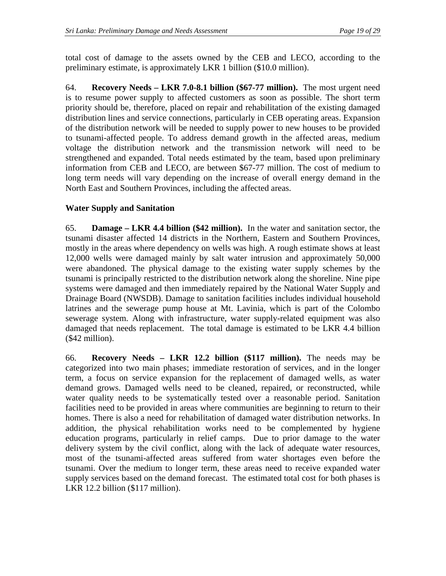total cost of damage to the assets owned by the CEB and LECO, according to the preliminary estimate, is approximately LKR 1 billion (\$10.0 million).

64. **Recovery Needs – LKR 7.0-8.1 billion (\$67-77 million).** The most urgent need is to resume power supply to affected customers as soon as possible. The short term priority should be, therefore, placed on repair and rehabilitation of the existing damaged distribution lines and service connections, particularly in CEB operating areas. Expansion of the distribution network will be needed to supply power to new houses to be provided to tsunami-affected people. To address demand growth in the affected areas, medium voltage the distribution network and the transmission network will need to be strengthened and expanded. Total needs estimated by the team, based upon preliminary information from CEB and LECO, are between \$67-77 million. The cost of medium to long term needs will vary depending on the increase of overall energy demand in the North East and Southern Provinces, including the affected areas.

# **Water Supply and Sanitation**

65. **Damage – LKR 4.4 billion (\$42 million).** In the water and sanitation sector, the tsunami disaster affected 14 districts in the Northern, Eastern and Southern Provinces, mostly in the areas where dependency on wells was high. A rough estimate shows at least 12,000 wells were damaged mainly by salt water intrusion and approximately 50,000 were abandoned. The physical damage to the existing water supply schemes by the tsunami is principally restricted to the distribution network along the shoreline. Nine pipe systems were damaged and then immediately repaired by the National Water Supply and Drainage Board (NWSDB). Damage to sanitation facilities includes individual household latrines and the sewerage pump house at Mt. Lavinia, which is part of the Colombo sewerage system. Along with infrastructure, water supply-related equipment was also damaged that needs replacement. The total damage is estimated to be LKR 4.4 billion (\$42 million).

66. **Recovery Needs – LKR 12.2 billion (\$117 million).** The needs may be categorized into two main phases; immediate restoration of services, and in the longer term, a focus on service expansion for the replacement of damaged wells, as water demand grows. Damaged wells need to be cleaned, repaired, or reconstructed, while water quality needs to be systematically tested over a reasonable period. Sanitation facilities need to be provided in areas where communities are beginning to return to their homes. There is also a need for rehabilitation of damaged water distribution networks. In addition, the physical rehabilitation works need to be complemented by hygiene education programs, particularly in relief camps. Due to prior damage to the water delivery system by the civil conflict, along with the lack of adequate water resources, most of the tsunami-affected areas suffered from water shortages even before the tsunami. Over the medium to longer term, these areas need to receive expanded water supply services based on the demand forecast. The estimated total cost for both phases is LKR 12.2 billion (\$117 million).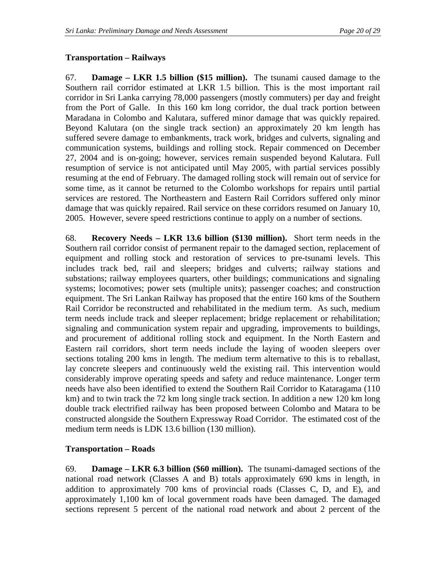### **Transportation – Railways**

67. **Damage – LKR 1.5 billion (\$15 million).** The tsunami caused damage to the Southern rail corridor estimated at LKR 1.5 billion. This is the most important rail corridor in Sri Lanka carrying 78,000 passengers (mostly commuters) per day and freight from the Port of Galle. In this 160 km long corridor, the dual track portion between Maradana in Colombo and Kalutara, suffered minor damage that was quickly repaired. Beyond Kalutara (on the single track section) an approximately 20 km length has suffered severe damage to embankments, track work, bridges and culverts, signaling and communication systems, buildings and rolling stock. Repair commenced on December 27, 2004 and is on-going; however, services remain suspended beyond Kalutara. Full resumption of service is not anticipated until May 2005, with partial services possibly resuming at the end of February. The damaged rolling stock will remain out of service for some time, as it cannot be returned to the Colombo workshops for repairs until partial services are restored. The Northeastern and Eastern Rail Corridors suffered only minor damage that was quickly repaired. Rail service on these corridors resumed on January 10, 2005. However, severe speed restrictions continue to apply on a number of sections.

68. **Recovery Needs – LKR 13.6 billion (\$130 million).** Short term needs in the Southern rail corridor consist of permanent repair to the damaged section, replacement of equipment and rolling stock and restoration of services to pre-tsunami levels. This includes track bed, rail and sleepers; bridges and culverts; railway stations and substations; railway employees quarters, other buildings; communications and signaling systems; locomotives; power sets (multiple units); passenger coaches; and construction equipment. The Sri Lankan Railway has proposed that the entire 160 kms of the Southern Rail Corridor be reconstructed and rehabilitated in the medium term. As such, medium term needs include track and sleeper replacement; bridge replacement or rehabilitation; signaling and communication system repair and upgrading, improvements to buildings, and procurement of additional rolling stock and equipment. In the North Eastern and Eastern rail corridors, short term needs include the laying of wooden sleepers over sections totaling 200 kms in length. The medium term alternative to this is to reballast, lay concrete sleepers and continuously weld the existing rail. This intervention would considerably improve operating speeds and safety and reduce maintenance. Longer term needs have also been identified to extend the Southern Rail Corridor to Kataragama (110 km) and to twin track the 72 km long single track section. In addition a new 120 km long double track electrified railway has been proposed between Colombo and Matara to be constructed alongside the Southern Expressway Road Corridor. The estimated cost of the medium term needs is LDK 13.6 billion (130 million).

### **Transportation – Roads**

69. **Damage – LKR 6.3 billion (\$60 million).** The tsunami-damaged sections of the national road network (Classes A and B) totals approximately 690 kms in length, in addition to approximately 700 kms of provincial roads (Classes C, D, and E), and approximately 1,100 km of local government roads have been damaged. The damaged sections represent 5 percent of the national road network and about 2 percent of the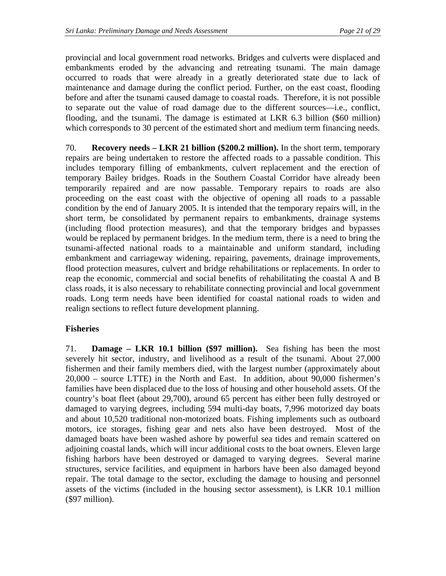provincial and local government road networks. Bridges and culverts were displaced and embankments eroded by the advancing and retreating tsunami. The main damage occurred to roads that were already in a greatly deteriorated state due to lack of maintenance and damage during the conflict period. Further, on the east coast, flooding before and after the tsunami caused damage to coastal roads. Therefore, it is not possible to separate out the value of road damage due to the different sources—i.e., conflict, flooding, and the tsunami. The damage is estimated at LKR 6.3 billion (\$60 million) which corresponds to 30 percent of the estimated short and medium term financing needs.

70. **Recovery needs – LKR 21 billion (\$200.2 million).** In the short term, temporary repairs are being undertaken to restore the affected roads to a passable condition. This includes temporary filling of embankments, culvert replacement and the erection of temporary Bailey bridges. Roads in the Southern Coastal Corridor have already been temporarily repaired and are now passable. Temporary repairs to roads are also proceeding on the east coast with the objective of opening all roads to a passable condition by the end of January 2005. It is intended that the temporary repairs will, in the short term, be consolidated by permanent repairs to embankments, drainage systems (including flood protection measures), and that the temporary bridges and bypasses would be replaced by permanent bridges. In the medium term, there is a need to bring the tsunami-affected national roads to a maintainable and uniform standard, including embankment and carriageway widening, repairing, pavements, drainage improvements, flood protection measures, culvert and bridge rehabilitations or replacements. In order to reap the economic, commercial and social benefits of rehabilitating the coastal A and B class roads, it is also necessary to rehabilitate connecting provincial and local government roads. Long term needs have been identified for coastal national roads to widen and realign sections to reflect future development planning.

### **Fisheries**

71. **Damage – LKR 10.1 billion (\$97 million).** Sea fishing has been the most severely hit sector, industry, and livelihood as a result of the tsunami. About 27,000 fishermen and their family members died, with the largest number (approximately about 20,000 – source LTTE) in the North and East. In addition, about 90,000 fishermen's families have been displaced due to the loss of housing and other household assets. Of the country's boat fleet (about 29,700), around 65 percent has either been fully destroyed or damaged to varying degrees, including 594 multi-day boats, 7,996 motorized day boats and about 10,520 traditional non-motorized boats. Fishing implements such as outboard motors, ice storages, fishing gear and nets also have been destroyed. Most of the damaged boats have been washed ashore by powerful sea tides and remain scattered on adjoining coastal lands, which will incur additional costs to the boat owners. Eleven large fishing harbors have been destroyed or damaged to varying degrees. Several marine structures, service facilities, and equipment in harbors have been also damaged beyond repair. The total damage to the sector, excluding the damage to housing and personnel assets of the victims (included in the housing sector assessment), is LKR 10.1 million (\$97 million).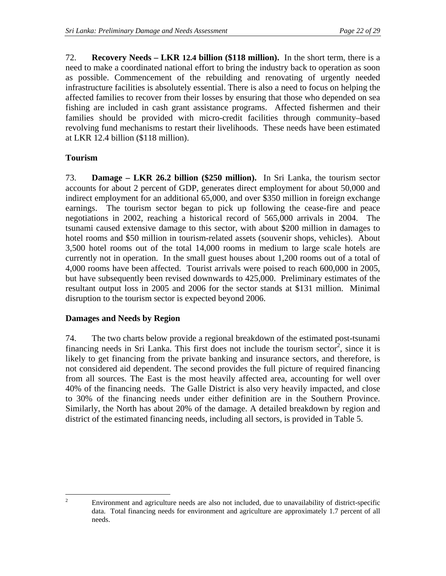72. **Recovery Needs – LKR 12.4 billion (\$118 million).** In the short term, there is a need to make a coordinated national effort to bring the industry back to operation as soon as possible. Commencement of the rebuilding and renovating of urgently needed infrastructure facilities is absolutely essential. There is also a need to focus on helping the affected families to recover from their losses by ensuring that those who depended on sea fishing are included in cash grant assistance programs. Affected fishermen and their families should be provided with micro-credit facilities through community–based revolving fund mechanisms to restart their livelihoods. These needs have been estimated at LKR 12.4 billion (\$118 million).

# **Tourism**

 $\frac{1}{2}$ 

73. **Damage – LKR 26.2 billion (\$250 million).** In Sri Lanka, the tourism sector accounts for about 2 percent of GDP, generates direct employment for about 50,000 and indirect employment for an additional 65,000, and over \$350 million in foreign exchange earnings. The tourism sector began to pick up following the cease-fire and peace negotiations in 2002, reaching a historical record of 565,000 arrivals in 2004. The tsunami caused extensive damage to this sector, with about \$200 million in damages to hotel rooms and \$50 million in tourism-related assets (souvenir shops, vehicles). About 3,500 hotel rooms out of the total 14,000 rooms in medium to large scale hotels are currently not in operation. In the small guest houses about 1,200 rooms out of a total of 4,000 rooms have been affected. Tourist arrivals were poised to reach 600,000 in 2005, but have subsequently been revised downwards to 425,000. Preliminary estimates of the resultant output loss in 2005 and 2006 for the sector stands at \$131 million. Minimal disruption to the tourism sector is expected beyond 2006.

### **Damages and Needs by Region**

74. The two charts below provide a regional breakdown of the estimated post-tsunami financing needs in Sri Lanka. This first does not include the tourism sector<sup>[2](#page-23-0)</sup>, since it is likely to get financing from the private banking and insurance sectors, and therefore, is not considered aid dependent. The second provides the full picture of required financing from all sources. The East is the most heavily affected area, accounting for well over 40% of the financing needs. The Galle District is also very heavily impacted, and close to 30% of the financing needs under either definition are in the Southern Province. Similarly, the North has about 20% of the damage. A detailed breakdown by region and district of the estimated financing needs, including all sectors, is provided in Table 5.

<span id="page-23-0"></span>Environment and agriculture needs are also not included, due to unavailability of district-specific data. Total financing needs for environment and agriculture are approximately 1.7 percent of all needs.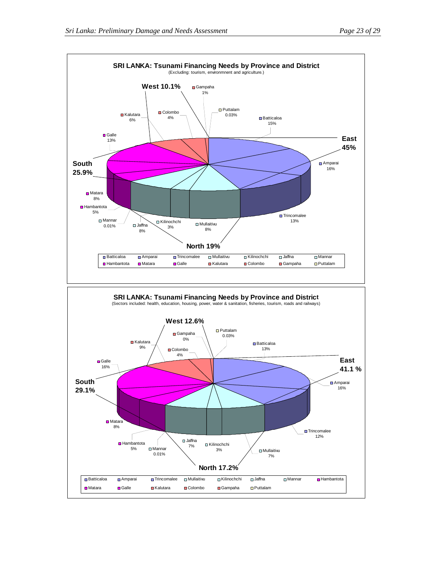$\overline{\phantom{a}}$  Kalutara $\overline{\phantom{a}}$  Kalutara  $\overline{\phantom{a}}$  Kalutara  $\overline{\phantom{a}}$  Kalutara  $\overline{\phantom{a}}$ 

6%

**■** Galle 13%

Colombo

**West 10.1%**

**D** Matara 8%

**South 25.9%**



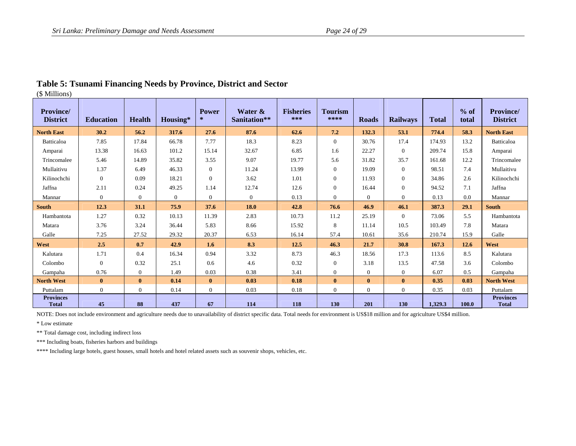| <b>Province/</b><br><b>District</b> | <b>Education</b> | <b>Health</b>  | Housing* | <b>Power</b><br>$\ast$ | Water &<br>Sanitation** | <b>Fisheries</b><br>*** | <b>Tourism</b><br>**** | <b>Roads</b>   | <b>Railways</b> | <b>Total</b> | % of<br>total | <b>Province/</b><br><b>District</b> |
|-------------------------------------|------------------|----------------|----------|------------------------|-------------------------|-------------------------|------------------------|----------------|-----------------|--------------|---------------|-------------------------------------|
| <b>North East</b>                   | 30.2             | 56.2           | 317.6    | 27.6                   | 87.6                    | 62.6                    | 7.2                    | 132.3          | 53.1            | 774.4        | 58.3          | <b>North East</b>                   |
| <b>Batticaloa</b>                   | 7.85             | 17.84          | 66.78    | 7.77                   | 18.3                    | 8.23                    | $\overline{0}$         | 30.76          | 17.4            | 174.93       | 13.2          | Batticaloa                          |
| Amparai                             | 13.38            | 16.63          | 101.2    | 15.14                  | 32.67                   | 6.85                    | 1.6                    | 22.27          | $\mathbf{0}$    | 209.74       | 15.8          | Amparai                             |
| Trincomalee                         | 5.46             | 14.89          | 35.82    | 3.55                   | 9.07                    | 19.77                   | 5.6                    | 31.82          | 35.7            | 161.68       | 12.2          | Trincomalee                         |
| Mullaitivu                          | 1.37             | 6.49           | 46.33    | $\Omega$               | 11.24                   | 13.99                   | $\overline{0}$         | 19.09          | $\mathbf{0}$    | 98.51        | 7.4           | Mullaitivu                          |
| Kilinochchi                         | $\mathbf{0}$     | 0.09           | 18.21    | $\Omega$               | 3.62                    | 1.01                    | $\mathbf{0}$           | 11.93          | 0               | 34.86        | 2.6           | Kilinochchi                         |
| Jaffna                              | 2.11             | 0.24           | 49.25    | 1.14                   | 12.74                   | 12.6                    | $\theta$               | 16.44          | 0               | 94.52        | 7.1           | Jaffna                              |
| Mannar                              | $\overline{0}$   | $\overline{0}$ | $\theta$ | $\overline{0}$         | $\overline{0}$          | 0.13                    | $\theta$               | $\overline{0}$ | $\overline{0}$  | 0.13         | 0.0           | Mannar                              |
| <b>South</b>                        | 12.3             | 31.1           | 75.9     | 37.6                   | <b>18.0</b>             | 42.8                    | 76.6                   | 46.9           | 46.1            | 387.3        | 29.1          | <b>South</b>                        |
| Hambantota                          | 1.27             | 0.32           | 10.13    | 11.39                  | 2.83                    | 10.73                   | 11.2                   | 25.19          | $\overline{0}$  | 73.06        | 5.5           | Hambantota                          |
| Matara                              | 3.76             | 3.24           | 36.44    | 5.83                   | 8.66                    | 15.92                   | 8                      | 11.14          | 10.5            | 103.49       | 7.8           | Matara                              |
| Galle                               | 7.25             | 27.52          | 29.32    | 20.37                  | 6.53                    | 16.14                   | 57.4                   | 10.61          | 35.6            | 210.74       | 15.9          | Galle                               |
| West                                | 2.5              | 0.7            | 42.9     | 1.6                    | 8.3                     | 12.5                    | 46.3                   | 21.7           | 30.8            | 167.3        | 12.6          | West                                |
| Kalutara                            | 1.71             | 0.4            | 16.34    | 0.94                   | 3.32                    | 8.73                    | 46.3                   | 18.56          | 17.3            | 113.6        | 8.5           | Kalutara                            |
| Colombo                             | $\overline{0}$   | 0.32           | 25.1     | 0.6                    | 4.6                     | 0.32                    | $\theta$               | 3.18           | 13.5            | 47.58        | 3.6           | Colombo                             |
| Gampaha                             | 0.76             | $\mathbf{0}$   | 1.49     | 0.03                   | 0.38                    | 3.41                    | $\theta$               | $\theta$       | $\overline{0}$  | 6.07         | 0.5           | Gampaha                             |
| <b>North West</b>                   | $\mathbf{0}$     | $\bf{0}$       | 0.14     | $\mathbf{0}$           | 0.03                    | 0.18                    | $\mathbf{0}$           | $\mathbf{0}$   | $\bf{0}$        | 0.35         | 0.03          | <b>North West</b>                   |
| Puttalam                            | $\overline{0}$   | $\overline{0}$ | 0.14     | $\overline{0}$         | 0.03                    | 0.18                    | $\theta$               | $\Omega$       | $\overline{0}$  | 0.35         | 0.03          | Puttalam                            |
| <b>Provinces</b><br><b>Total</b>    | 45               | 88             | 437      | 67                     | 114                     | 118                     | 130                    | 201            | <b>130</b>      | 1,329.3      | 100.0         | <b>Provinces</b><br><b>Total</b>    |

#### **Table 5: Tsunami Financing Needs by Province, District and Sector**  (\$ Millions)

NOTE: Does not include environment and agriculture needs due to unavailability of district specific data. Total needs for environment is US\$18 million and for agriculture US\$4 million.

\* Low estimate

\*\* Total damage cost, including indirect loss

\*\*\* Including boats, fisheries harbors and buildings

\*\*\*\* Including large hotels, guest houses, small hotels and hotel related assets such as souvenir shops, vehicles, etc.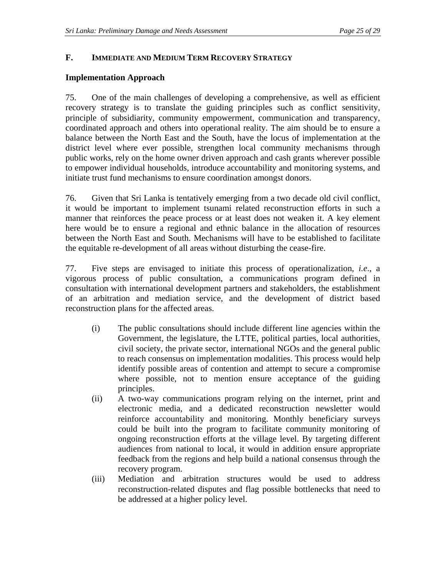### **F. IMMEDIATE AND MEDIUM TERM RECOVERY STRATEGY**

### **Implementation Approach**

75. One of the main challenges of developing a comprehensive, as well as efficient recovery strategy is to translate the guiding principles such as conflict sensitivity, principle of subsidiarity, community empowerment, communication and transparency, coordinated approach and others into operational reality. The aim should be to ensure a balance between the North East and the South, have the locus of implementation at the district level where ever possible, strengthen local community mechanisms through public works, rely on the home owner driven approach and cash grants wherever possible to empower individual households, introduce accountability and monitoring systems, and initiate trust fund mechanisms to ensure coordination amongst donors.

76. Given that Sri Lanka is tentatively emerging from a two decade old civil conflict, it would be important to implement tsunami related reconstruction efforts in such a manner that reinforces the peace process or at least does not weaken it. A key element here would be to ensure a regional and ethnic balance in the allocation of resources between the North East and South. Mechanisms will have to be established to facilitate the equitable re-development of all areas without disturbing the cease-fire.

77. Five steps are envisaged to initiate this process of operationalization, *i.e*., a vigorous process of public consultation, a communications program defined in consultation with international development partners and stakeholders, the establishment of an arbitration and mediation service, and the development of district based reconstruction plans for the affected areas.

- (i) The public consultations should include different line agencies within the Government, the legislature, the LTTE, political parties, local authorities, civil society, the private sector, international NGOs and the general public to reach consensus on implementation modalities. This process would help identify possible areas of contention and attempt to secure a compromise where possible, not to mention ensure acceptance of the guiding principles.
- (ii) A two-way communications program relying on the internet, print and electronic media, and a dedicated reconstruction newsletter would reinforce accountability and monitoring. Monthly beneficiary surveys could be built into the program to facilitate community monitoring of ongoing reconstruction efforts at the village level. By targeting different audiences from national to local, it would in addition ensure appropriate feedback from the regions and help build a national consensus through the recovery program.
- (iii) Mediation and arbitration structures would be used to address reconstruction-related disputes and flag possible bottlenecks that need to be addressed at a higher policy level.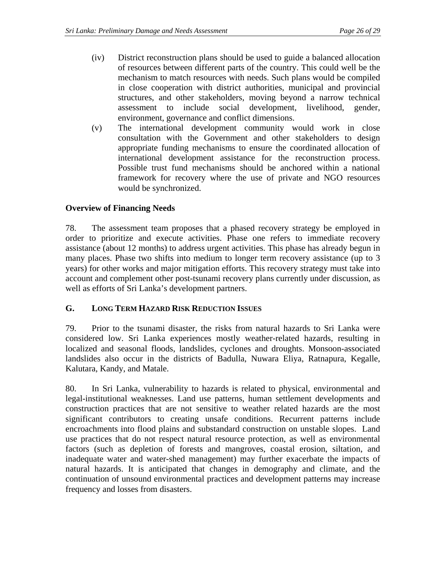- (iv) District reconstruction plans should be used to guide a balanced allocation of resources between different parts of the country. This could well be the mechanism to match resources with needs. Such plans would be compiled in close cooperation with district authorities, municipal and provincial structures, and other stakeholders, moving beyond a narrow technical assessment to include social development, livelihood, gender, environment, governance and conflict dimensions.
- (v) The international development community would work in close consultation with the Government and other stakeholders to design appropriate funding mechanisms to ensure the coordinated allocation of international development assistance for the reconstruction process. Possible trust fund mechanisms should be anchored within a national framework for recovery where the use of private and NGO resources would be synchronized.

# **Overview of Financing Needs**

78. The assessment team proposes that a phased recovery strategy be employed in order to prioritize and execute activities. Phase one refers to immediate recovery assistance (about 12 months) to address urgent activities. This phase has already begun in many places. Phase two shifts into medium to longer term recovery assistance (up to 3 years) for other works and major mitigation efforts. This recovery strategy must take into account and complement other post-tsunami recovery plans currently under discussion, as well as efforts of Sri Lanka's development partners.

### **G. LONG TERM HAZARD RISK REDUCTION ISSUES**

79. Prior to the tsunami disaster, the risks from natural hazards to Sri Lanka were considered low. Sri Lanka experiences mostly weather-related hazards, resulting in localized and seasonal floods, landslides, cyclones and droughts. Monsoon-associated landslides also occur in the districts of Badulla, Nuwara Eliya, Ratnapura, Kegalle, Kalutara, Kandy, and Matale.

80. In Sri Lanka, vulnerability to hazards is related to physical, environmental and legal-institutional weaknesses. Land use patterns, human settlement developments and construction practices that are not sensitive to weather related hazards are the most significant contributors to creating unsafe conditions. Recurrent patterns include encroachments into flood plains and substandard construction on unstable slopes. Land use practices that do not respect natural resource protection, as well as environmental factors (such as depletion of forests and mangroves, coastal erosion, siltation, and inadequate water and water-shed management) may further exacerbate the impacts of natural hazards. It is anticipated that changes in demography and climate, and the continuation of unsound environmental practices and development patterns may increase frequency and losses from disasters.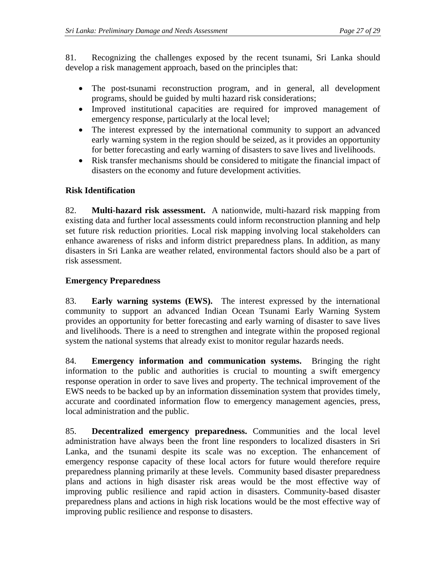81. Recognizing the challenges exposed by the recent tsunami, Sri Lanka should develop a risk management approach, based on the principles that:

- The post-tsunami reconstruction program, and in general, all development programs, should be guided by multi hazard risk considerations;
- Improved institutional capacities are required for improved management of emergency response, particularly at the local level;
- The interest expressed by the international community to support an advanced early warning system in the region should be seized, as it provides an opportunity for better forecasting and early warning of disasters to save lives and livelihoods.
- Risk transfer mechanisms should be considered to mitigate the financial impact of disasters on the economy and future development activities.

# **Risk Identification**

82. **Multi-hazard risk assessment.** A nationwide, multi-hazard risk mapping from existing data and further local assessments could inform reconstruction planning and help set future risk reduction priorities. Local risk mapping involving local stakeholders can enhance awareness of risks and inform district preparedness plans. In addition, as many disasters in Sri Lanka are weather related, environmental factors should also be a part of risk assessment.

# **Emergency Preparedness**

83. **Early warning systems (EWS).** The interest expressed by the international community to support an advanced Indian Ocean Tsunami Early Warning System provides an opportunity for better forecasting and early warning of disaster to save lives and livelihoods. There is a need to strengthen and integrate within the proposed regional system the national systems that already exist to monitor regular hazards needs.

84. **Emergency information and communication systems.** Bringing the right information to the public and authorities is crucial to mounting a swift emergency response operation in order to save lives and property. The technical improvement of the EWS needs to be backed up by an information dissemination system that provides timely, accurate and coordinated information flow to emergency management agencies, press, local administration and the public.

85. **Decentralized emergency preparedness.** Communities and the local level administration have always been the front line responders to localized disasters in Sri Lanka, and the tsunami despite its scale was no exception. The enhancement of emergency response capacity of these local actors for future would therefore require preparedness planning primarily at these levels. Community based disaster preparedness plans and actions in high disaster risk areas would be the most effective way of improving public resilience and rapid action in disasters. Community-based disaster preparedness plans and actions in high risk locations would be the most effective way of improving public resilience and response to disasters.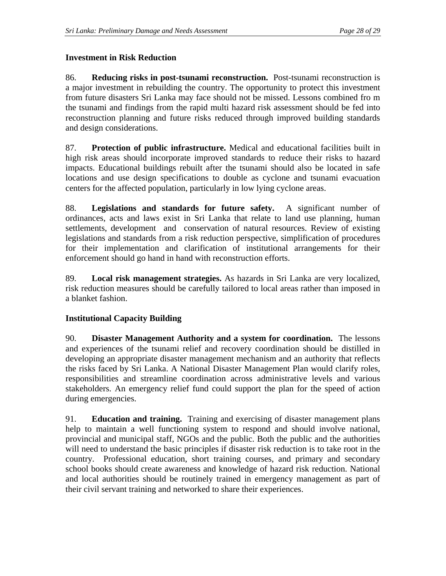# **Investment in Risk Reduction**

86. **Reducing risks in post-tsunami reconstruction.** Post-tsunami reconstruction is a major investment in rebuilding the country. The opportunity to protect this investment from future disasters Sri Lanka may face should not be missed. Lessons combined fro m the tsunami and findings from the rapid multi hazard risk assessment should be fed into reconstruction planning and future risks reduced through improved building standards and design considerations.

87. **Protection of public infrastructure.** Medical and educational facilities built in high risk areas should incorporate improved standards to reduce their risks to hazard impacts. Educational buildings rebuilt after the tsunami should also be located in safe locations and use design specifications to double as cyclone and tsunami evacuation centers for the affected population, particularly in low lying cyclone areas.

88. **Legislations and standards for future safety.** A significant number of ordinances, acts and laws exist in Sri Lanka that relate to land use planning, human settlements, development and conservation of natural resources. Review of existing legislations and standards from a risk reduction perspective, simplification of procedures for their implementation and clarification of institutional arrangements for their enforcement should go hand in hand with reconstruction efforts.

89. **Local risk management strategies.** As hazards in Sri Lanka are very localized, risk reduction measures should be carefully tailored to local areas rather than imposed in a blanket fashion.

# **Institutional Capacity Building**

90. **Disaster Management Authority and a system for coordination.** The lessons and experiences of the tsunami relief and recovery coordination should be distilled in developing an appropriate disaster management mechanism and an authority that reflects the risks faced by Sri Lanka. A National Disaster Management Plan would clarify roles, responsibilities and streamline coordination across administrative levels and various stakeholders. An emergency relief fund could support the plan for the speed of action during emergencies.

91. **Education and training.**Training and exercising of disaster management plans help to maintain a well functioning system to respond and should involve national, provincial and municipal staff, NGOs and the public. Both the public and the authorities will need to understand the basic principles if disaster risk reduction is to take root in the country. Professional education, short training courses, and primary and secondary school books should create awareness and knowledge of hazard risk reduction. National and local authorities should be routinely trained in emergency management as part of their civil servant training and networked to share their experiences.